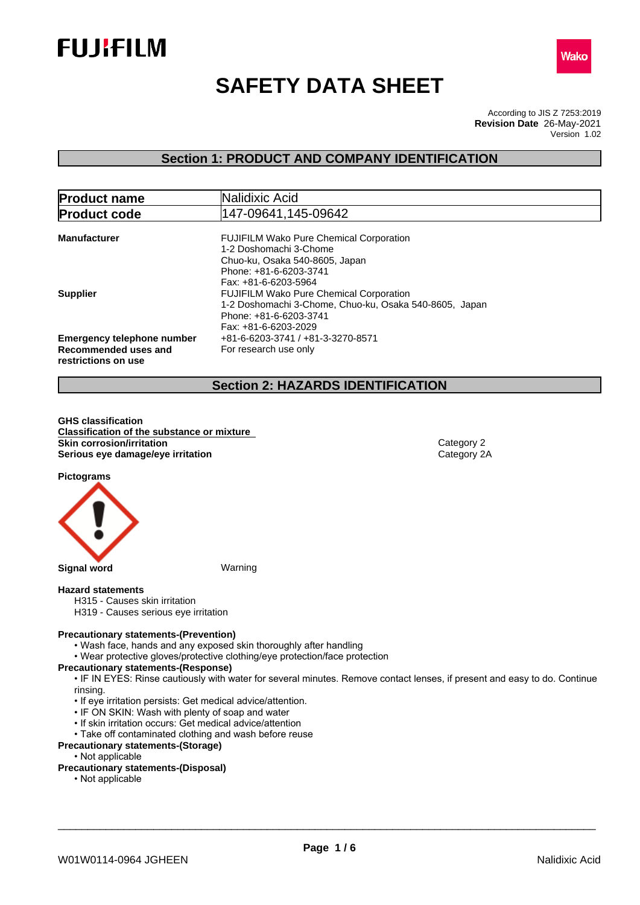



# **SAFETY DATA SHEET**

According to JIS Z 7253:2019 Version 1.02 **Revision Date** 26-May-2021

# **Section 1: PRODUCT AND COMPANY IDENTIFICATION**

| <b>Product name</b>               | Nalidixic Acid                                         |  |  |
|-----------------------------------|--------------------------------------------------------|--|--|
| <b>Product code</b>               | 147-09641,145-09642                                    |  |  |
|                                   |                                                        |  |  |
| <b>Manufacturer</b>               | <b>FUJIFILM Wako Pure Chemical Corporation</b>         |  |  |
|                                   | 1-2 Doshomachi 3-Chome                                 |  |  |
|                                   | Chuo-ku, Osaka 540-8605, Japan                         |  |  |
|                                   | Phone: +81-6-6203-3741                                 |  |  |
|                                   | Fax: +81-6-6203-5964                                   |  |  |
| <b>Supplier</b>                   | <b>FUJIFILM Wako Pure Chemical Corporation</b>         |  |  |
|                                   | 1-2 Doshomachi 3-Chome, Chuo-ku, Osaka 540-8605, Japan |  |  |
|                                   | Phone: +81-6-6203-3741                                 |  |  |
|                                   | Fax: +81-6-6203-2029                                   |  |  |
| <b>Emergency telephone number</b> | +81-6-6203-3741 / +81-3-3270-8571                      |  |  |
| Recommended uses and              | For research use only                                  |  |  |
| restrictions on use               |                                                        |  |  |

# **Section 2: HAZARDS IDENTIFICATION**

**GHS classification Classification of the substance or mixture Skin corrosion/irritation** Category 2 **Serious eye damage/eye irritation** Category 2A

**Pictograms**



#### **Hazard statements**

- H315 Causes skin irritation
- H319 Causes serious eye irritation

#### **Precautionary statements-(Prevention)**

- Wash face, hands and any exposed skin thoroughly after handling
- Wear protective gloves/protective clothing/eye protection/face protection

#### **Precautionary statements-(Response)**

• IF IN EYES: Rinse cautiously with water for several minutes. Remove contact lenses, if present and easy to do. Continue rinsing.

- If eye irritation persists: Get medical advice/attention.
- IF ON SKIN: Wash with plenty of soap and water
- If skin irritation occurs: Get medical advice/attention
- Take off contaminated clothing and wash before reuse

# **Precautionary statements-(Storage)**

• Not applicable

# **Precautionary statements-(Disposal)**

• Not applicable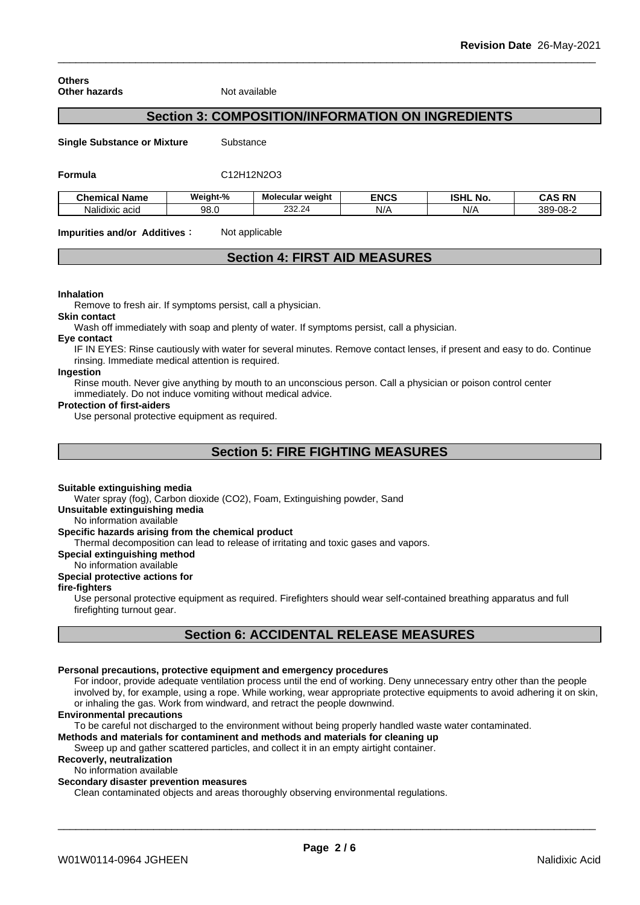**Others Other hazards** Not available

# **Section 3: COMPOSITION/INFORMATION ON INGREDIENTS**

**Single Substance or Mixture** Substance

#### **Formula** C12H12N2O3

| <b>Chemical Name</b>              | Weight-% | Molecular weight        | <b>ENCS</b> | <b>ISHL</b><br>NO. | <b>RN</b><br>CAS   |
|-----------------------------------|----------|-------------------------|-------------|--------------------|--------------------|
| $\cdots$<br>. .<br>Nalidixic acio | 98.0     | $\sim$<br>ה ה<br>232.24 | N/A         | N//                | -NR.<br>389<br>טי- |

**Impurities and/or Additives:** Not applicable

# **Section 4: FIRST AID MEASURES**

#### **Inhalation**

Remove to fresh air. If symptoms persist, call a physician.

#### **Skin contact**

Wash off immediately with soap and plenty of water. If symptoms persist, call a physician.

#### **Eye contact**

IF IN EYES: Rinse cautiously with water for several minutes. Remove contact lenses, if present and easy to do. Continue rinsing. Immediate medical attention is required.

# **Ingestion**

Rinse mouth. Never give anything by mouth to an unconscious person. Call a physician or poison control center immediately. Do not induce vomiting without medical advice.

#### **Protection of first-aiders**

Use personal protective equipment as required.

# **Section 5: FIRE FIGHTING MEASURES**

#### **Suitable extinguishing media**

Water spray (fog), Carbon dioxide (CO2), Foam, Extinguishing powder, Sand

#### **Unsuitable extinguishing media**

No information available

## **Specific hazards arising from the chemical product**

Thermal decomposition can lead to release of irritating and toxic gases and vapors.

#### **Special extinguishing method**

No information available

## **Special protective actions for**

### **fire-fighters**

Use personal protective equipment as required.Firefighters should wear self-contained breathing apparatus and full firefighting turnout gear.

# **Section 6: ACCIDENTAL RELEASE MEASURES**

#### **Personal precautions, protective equipment and emergency procedures**

For indoor, provide adequate ventilation process until the end of working. Deny unnecessary entry other than the people involved by, for example, using a rope. While working, wear appropriate protective equipments to avoid adhering it on skin, or inhaling the gas. Work from windward, and retract the people downwind.

#### **Environmental precautions**

To be careful not discharged to the environment without being properly handled waste water contaminated.

# **Methods and materials for contaminent and methods and materials for cleaning up**

Sweep up and gather scattered particles, and collect it in an empty airtight container.

# **Recoverly, neutralization**

No information available

#### **Secondary disaster prevention measures**

Clean contaminated objects and areas thoroughly observing environmental regulations.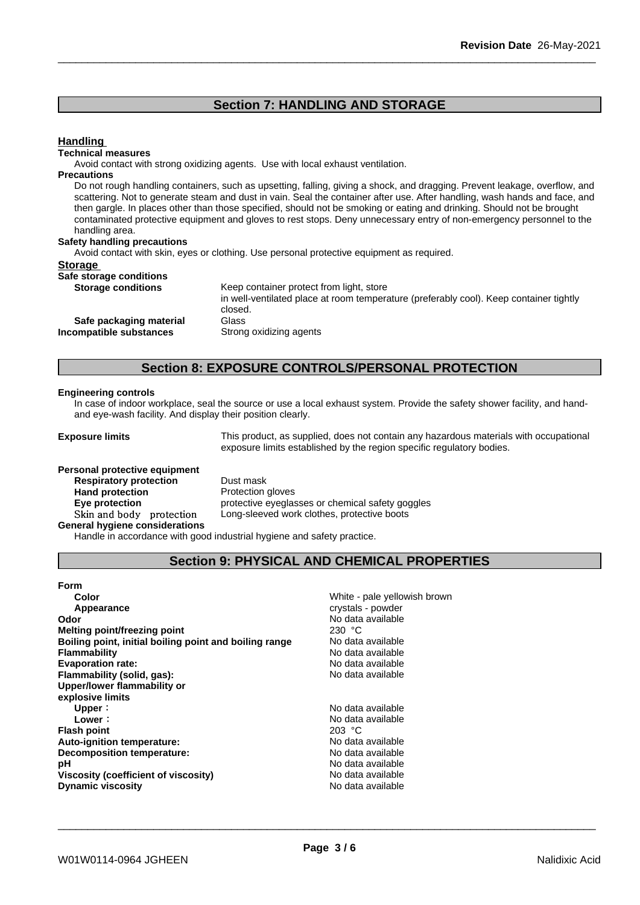# **Section 7: HANDLING AND STORAGE**

### **Handling**

#### **Technical measures**

Avoid contact with strong oxidizing agents. Use with local exhaust ventilation.

#### **Precautions**

Do not rough handling containers, such as upsetting, falling, giving a shock, and dragging. Prevent leakage, overflow, and scattering. Not to generate steam and dust in vain. Seal the container after use. After handling, wash hands and face, and then gargle. In places other than those specified, should not be smoking or eating and drinking. Should not be brought contaminated protective equipment and gloves to rest stops. Deny unnecessary entry of non-emergency personnel to the handling area.

#### **Safety handling precautions**

Avoid contact with skin, eyes or clothing. Use personal protective equipment as required.

| <u>Storage</u>            |            |
|---------------------------|------------|
| Safe storage conditions   |            |
| <b>Storage conditions</b> | Keep conta |

| oaro otorago oomannomo    |                                                                                        |
|---------------------------|----------------------------------------------------------------------------------------|
| <b>Storage conditions</b> | Keep container protect from light, store                                               |
|                           | in well-ventilated place at room temperature (preferably cool). Keep container tightly |
|                           | closed.                                                                                |
| Safe packaging material   | Glass                                                                                  |
| Incompatible substances   | Strong oxidizing agents                                                                |
|                           |                                                                                        |

# **Section 8: EXPOSURE CONTROLS/PERSONAL PROTECTION**

#### **Engineering controls**

In case of indoor workplace, seal the source or use a local exhaust system. Provide the safety shower facility, and handand eye-wash facility. And display their position clearly.

**Exposure limits** This product, as supplied, does not contain any hazardous materials with occupational exposure limits established by the region specific regulatory bodies.

# **Personal protective equipment Respiratory protection** Dust mask<br> **Frotection** Protection aloves **Hand protection**

**Eye protection protective eyeglasses or chemical safety goggles** Skin and body protection Long-sleeved work clothes, protective boots

**General hygiene considerations**

Handle in accordance with good industrial hygiene and safety practice.

# **Section 9: PHYSICAL AND CHEMICAL PROPERTIES**

| <b>Form</b>                                            |                              |
|--------------------------------------------------------|------------------------------|
| Color                                                  | White - pale yellowish brown |
| Appearance                                             | crystals - powder            |
| Odor                                                   | No data available            |
| <b>Melting point/freezing point</b>                    | 230 °C                       |
| Boiling point, initial boiling point and boiling range | No data available            |
| Flammability                                           | No data available            |
| <b>Evaporation rate:</b>                               | No data available            |
| Flammability (solid, gas):                             | No data available            |
| Upper/lower flammability or                            |                              |
| explosive limits                                       |                              |
| Upper:                                                 | No data available            |
| Lower:                                                 | No data available            |
| <b>Flash point</b>                                     | 203 $°C$                     |
| Auto-ignition temperature:                             | No data available            |
| Decomposition temperature:                             | No data available            |
| рH                                                     | No data available            |
| Viscosity (coefficient of viscosity)                   | No data available            |
| <b>Dynamic viscosity</b>                               | No data available            |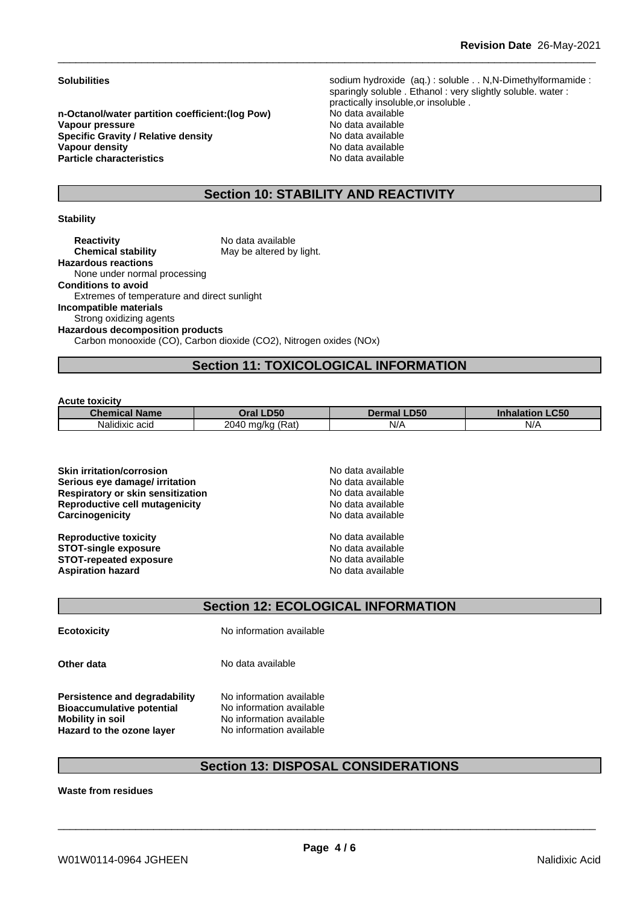**n-Octanol/water partition coefficient:(log Pow) No data available<br>
<b>Vapour pressure** No data available **Vapour pressure**<br> **Specific Gravity / Relative density**<br>
Specific Gravity / Relative density<br>  $\frac{1}{2}$  Mo data available **Specific Gravity / Relative density Vapour density**<br> **Particle characteristics**<br> **Particle characteristics**<br> **Particle characteristics Particle characteristics** 

Solubilities **Solubilities** sodium hydroxide (aq.) : soluble . . N,N-Dimethylformamide : sparingly soluble . Ethanol : very slightly soluble. water : practically insoluble,or insoluble .

# **Section 10: STABILITY AND REACTIVITY**

#### **Stability**

**Reactivity** No data available<br> **Chemical stability** May be altered by May be altered by light. **Hazardous reactions** None under normal processing **Conditions to avoid** Extremes of temperature and direct sunlight **Incompatible materials** Strong oxidizing agents **Hazardous decomposition products** Carbon monooxide (CO), Carbon dioxide (CO2), Nitrogen oxides (NOx)

# **Section 11: TOXICOLOGICAL INFORMATION**

#### **Acute toxicity**

| <b>Chemical Name</b>   | <b>D50</b><br>Dral     | <b>_D50</b><br>Dermal | .C50<br>ıtion<br>Inhala |
|------------------------|------------------------|-----------------------|-------------------------|
| .<br>Nalidixic<br>acid | (Rat)<br>2040<br>ma/ko | NI/.<br>.             | N/A                     |

**Skin irritation/corrosion** No data available **Serious eye damage/ irritation No data available Respiratory or skin sensitization** No data available **Reproductive cell mutagenicity**<br> **Carcinogenicity**<br>
Carcinogenicity<br>
No data available **Carcinogenicity** 

**Reproductive toxicity No data available Reproductive toxicity No data available STOT-single exposure**<br> **STOT-repeated exposure**<br> **STOT-repeated exposure**<br> **No data available STOT-repeated exposure Aspiration hazard** No data available

# **Section 12: ECOLOGICAL INFORMATION**

**Ecotoxicity** No information available

**Other data** No data available

**Persistence and degradability** No information available **Bioaccumulative potential** No information available **Mobility in soil**<br> **Hazard to the ozone laver** Mo information available **Hazard** to the ozone layer

# **Section 13: DISPOSAL CONSIDERATIONS**

**Waste from residues**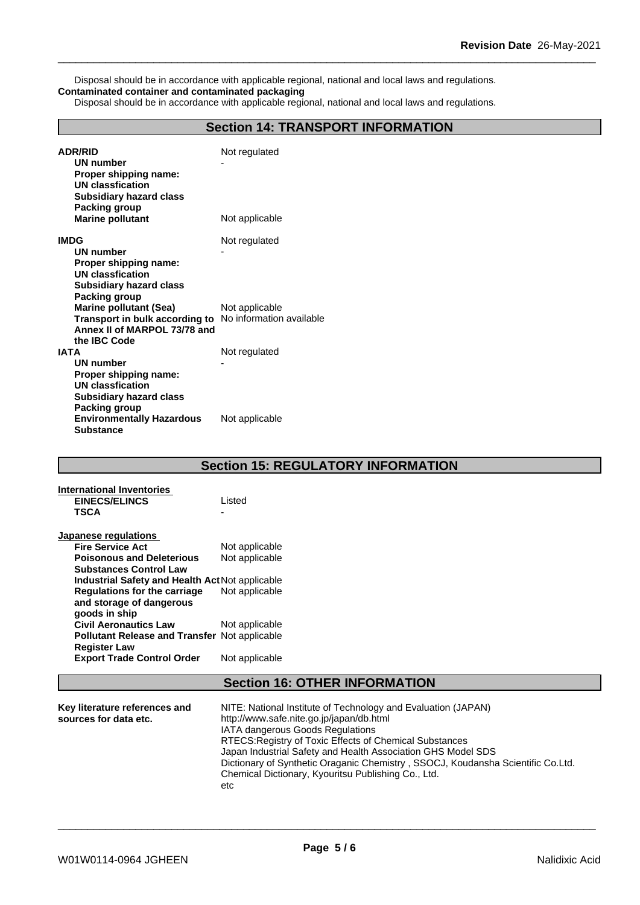Disposal should be in accordance with applicable regional, national and local laws and regulations. **Contaminated container and contaminated packaging**

Disposal should be in accordance with applicable regional, national and local laws and regulations.

# **Section 14: TRANSPORT INFORMATION**

| <b>ADR/RID</b><br>UN number<br>Proper shipping name:<br><b>UN classfication</b><br><b>Subsidiary hazard class</b>       | Not regulated            |
|-------------------------------------------------------------------------------------------------------------------------|--------------------------|
| <b>Packing group</b><br><b>Marine pollutant</b>                                                                         | Not applicable           |
| <b>IMDG</b>                                                                                                             | Not regulated            |
| <b>UN number</b><br>Proper shipping name:<br><b>UN classfication</b><br><b>Subsidiary hazard class</b><br>Packing group |                          |
| <b>Marine pollutant (Sea)</b>                                                                                           | Not applicable           |
| Transport in bulk according to<br>Annex II of MARPOL 73/78 and<br>the IBC Code                                          | No information available |
| <b>IATA</b>                                                                                                             | Not regulated            |
| <b>UN number</b>                                                                                                        |                          |
| Proper shipping name:<br><b>UN classfication</b>                                                                        |                          |
| <b>Subsidiary hazard class</b><br>Packing group                                                                         |                          |
| <b>Environmentally Hazardous</b><br><b>Substance</b>                                                                    | Not applicable           |

# **Section 15: REGULATORY INFORMATION**

| International Inventories<br><b>EINECS/ELINCS</b><br><b>TSCA</b> | Listed         |
|------------------------------------------------------------------|----------------|
| Japanese regulations                                             |                |
| <b>Fire Service Act</b>                                          | Not applicable |
| <b>Poisonous and Deleterious</b>                                 | Not applicable |
| <b>Substances Control Law</b>                                    |                |
| Industrial Safety and Health Act Not applicable                  |                |
| Regulations for the carriage                                     | Not applicable |
| and storage of dangerous                                         |                |
| goods in ship                                                    |                |
| <b>Civil Aeronautics Law</b>                                     | Not applicable |
| <b>Pollutant Release and Transfer Not applicable</b>             |                |
| <b>Register Law</b>                                              |                |
| <b>Export Trade Control Order</b>                                | Not applicable |
|                                                                  |                |

# **Section 16: OTHER INFORMATION**

| Key literature references and | NITE: National Institute of Technology and Evaluation (JAPAN)                   |
|-------------------------------|---------------------------------------------------------------------------------|
| sources for data etc.         | http://www.safe.nite.go.jp/japan/db.html                                        |
|                               | <b>IATA dangerous Goods Regulations</b>                                         |
|                               | RTECS: Registry of Toxic Effects of Chemical Substances                         |
|                               | Japan Industrial Safety and Health Association GHS Model SDS                    |
|                               | Dictionary of Synthetic Oraganic Chemistry, SSOCJ, Koudansha Scientific Co.Ltd. |
|                               | Chemical Dictionary, Kyouritsu Publishing Co., Ltd.                             |
| etc                           |                                                                                 |